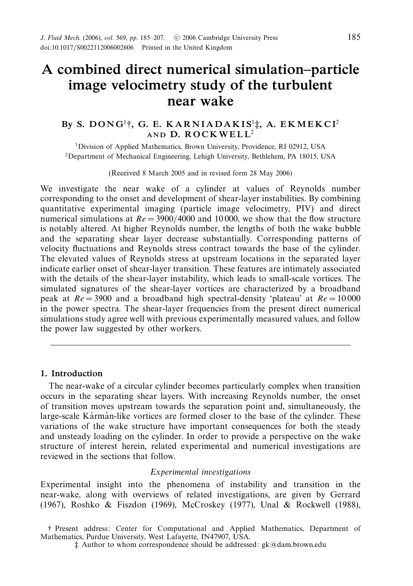# *A combined direct numerical simulation–particle image velocimetry study of the turbulent near wake*

# *By S. D O N G*<sup>1</sup>†*, G. E. K A R N I A D A K I S*<sup>1</sup>‡*, A. E KM E K C I*<sup>2</sup> **AND D. ROCKWELL<sup>2</sup>**

1Division of Applied Mathematics, Brown University, Providence, RI 02912, USA 2Department of Mechanical Engineering, Lehigh University, Bethlehem, PA 18015, USA

(Received 8 March 2005 and in revised form 28 May 2006)

We investigate the near wake of a cylinder at values of Reynolds number corresponding to the onset and development of shear-layer instabilities. By combining quantitative experimental imaging (particle image velocimetry, PIV) and direct numerical simulations at  $Re = 3900/4000$  and 10000, we show that the flow structure is notably altered. At higher Reynolds number, the lengths of both the wake bubble and the separating shear layer decrease substantially. Corresponding patterns of velocity fluctuations and Reynolds stress contract towards the base of the cylinder. The elevated values of Reynolds stress at upstream locations in the separated layer indicate earlier onset of shear-layer transition. These features are intimately associated with the details of the shear-layer instability, which leads to small-scale vortices. The simulated signatures of the shear-layer vortices are characterized by a broadband peak at  $Re = 3900$  and a broadband high spectral-density 'plateau' at  $Re = 10000$ in the power spectra. The shear-layer frequencies from the present direct numerical simulations study agree well with previous experimentally measured values, and follow the power law suggested by other workers.

## *1. Introduction*

The near-wake of a circular cylinder becomes particularly complex when transition occurs in the separating shear layers. With increasing Reynolds number, the onset of transition moves upstream towards the separation point and, simultaneously, the large-scale Karman-like vortices are formed closer to the base of the cylinder. These variations of the wake structure have important consequences for both the steady and unsteady loading on the cylinder. In order to provide a perspective on the wake structure of interest herein, related experimental and numerical investigations are reviewed in the sections that follow.

#### Experimental investigations

Experimental insight into the phenomena of instability and transition in the near-wake, along with overviews of related investigations, are given by Gerrard (1967), Roshko & Fiszdon (1969), McCroskey (1977), Unal & Rockwell (1988),

<sup>†</sup> Present address: Center for Computational and Applied Mathematics, Department of Mathematics, Purdue University, West Lafayette, IN47907, USA.

<sup>‡</sup> Author to whom correspondence should be addressed: gk@dam.brown.edu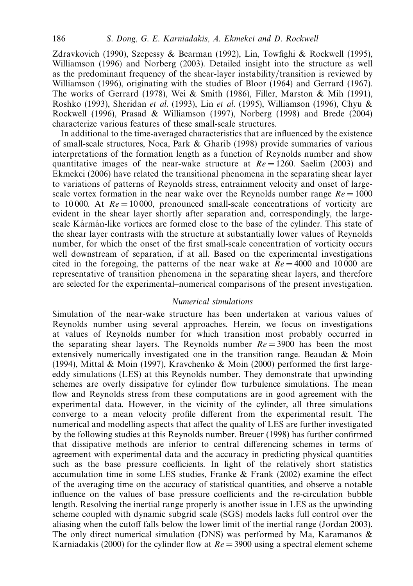Zdravkovich (1990), Szepessy & Bearman (1992), Lin, Towfighi & Rockwell (1995), Williamson (1996) and Norberg (2003). Detailed insight into the structure as well as the predominant frequency of the shear-layer instability/transition is reviewed by Williamson (1996), originating with the studies of Bloor (1964) and Gerrard (1967). The works of Gerrard (1978), Wei & Smith (1986), Filler, Marston & Mih (1991), Roshko (1993), Sheridan et al. (1993), Lin et al. (1995), Williamson (1996), Chyu & Rockwell (1996), Prasad & Williamson (1997), Norberg (1998) and Brede (2004) characterize various features of these small-scale structures.

In additional to the time-averaged characteristics that are influenced by the existence of small-scale structures, Noca, Park & Gharib (1998) provide summaries of various interpretations of the formation length as a function of Reynolds number and show quantitative images of the near-wake structure at  $Re = 1260$ . Saelim (2003) and Ekmekci (2006) have related the transitional phenomena in the separating shear layer to variations of patterns of Reynolds stress, entrainment velocity and onset of largescale vortex formation in the near wake over the Reynolds number range  $Re = 1000$ to 10,000. At  $Re = 10000$ , pronounced small-scale concentrations of vorticity are evident in the shear layer shortly after separation and, correspondingly, the largescale Kármán-like vortices are formed close to the base of the cylinder. This state of the shear layer contrasts with the structure at substantially lower values of Reynolds number, for which the onset of the first small-scale concentration of vorticity occurs well downstream of separation, if at all. Based on the experimental investigations cited in the foregoing, the patterns of the near wake at  $Re = 4000$  and 10000 are representative of transition phenomena in the separating shear layers, and therefore are selected for the experimental–numerical comparisons of the present investigation.

## Numerical simulations

Simulation of the near-wake structure has been undertaken at various values of Reynolds number using several approaches. Herein, we focus on investigations at values of Reynolds number for which transition most probably occurred in the separating shear layers. The Reynolds number  $Re = 3900$  has been the most extensively numerically investigated one in the transition range. Beaudan & Moin (1994), Mittal & Moin (1997), Kravchenko & Moin (2000) performed the first largeeddy simulations (LES) at this Reynolds number. They demonstrate that upwinding schemes are overly dissipative for cylinder flow turbulence simulations. The mean flow and Reynolds stress from these computations are in good agreement with the experimental data. However, in the vicinity of the cylinder, all three simulations converge to a mean velocity profile different from the experimental result. The numerical and modelling aspects that affect the quality of LES are further investigated by the following studies at this Reynolds number. Breuer (1998) has further confirmed that dissipative methods are inferior to central differencing schemes in terms of agreement with experimental data and the accuracy in predicting physical quantities such as the base pressure coefficients. In light of the relatively short statistics accumulation time in some LES studies, Franke  $\&$  Frank (2002) examine the effect of the averaging time on the accuracy of statistical quantities, and observe a notable influence on the values of base pressure coefficients and the re-circulation bubble length. Resolving the inertial range properly is another issue in LES as the upwinding scheme coupled with dynamic subgrid scale (SGS) models lacks full control over the aliasing when the cutoff falls below the lower limit of the inertial range (Jordan 2003). The only direct numerical simulation (DNS) was performed by Ma, Karamanos  $\&$ Karniadakis (2000) for the cylinder flow at  $Re = 3900$  using a spectral element scheme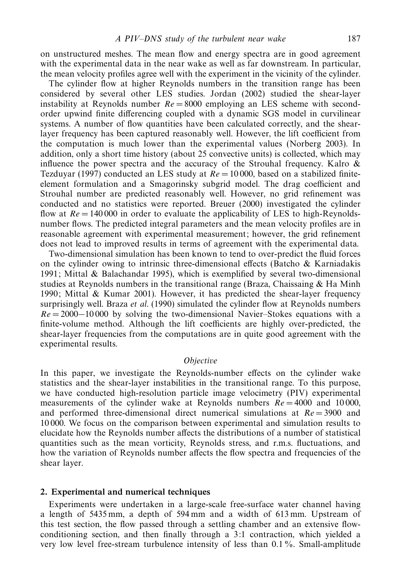on unstructured meshes. The mean flow and energy spectra are in good agreement with the experimental data in the near wake as well as far downstream. In particular, the mean velocity profiles agree well with the experiment in the vicinity of the cylinder.

The cylinder flow at higher Reynolds numbers in the transition range has been considered by several other LES studies. Jordan (2002) studied the shear-layer instability at Reynolds number  $Re = 8000$  employing an LES scheme with secondorder upwind finite differencing coupled with a dynamic SGS model in curvilinear systems. A number of flow quantities have been calculated correctly, and the shearlayer frequency has been captured reasonably well. However, the lift coefficient from the computation is much lower than the experimental values (Norberg 2003). In addition, only a short time history (about 25 convective units) is collected, which may influence the power spectra and the accuracy of the Strouhal frequency. Kalro  $\&$ Tezduyar (1997) conducted an LES study at  $Re = 10000$ , based on a stabilized finiteelement formulation and a Smagorinsky subgrid model. The drag coefficient and Strouhal number are predicted reasonably well. However, no grid refinement was conducted and no statistics were reported. Breuer (2000) investigated the cylinder flow at  $Re = 140000$  in order to evaluate the applicability of LES to high-Reynoldsnumber flows. The predicted integral parameters and the mean velocity profiles are in reasonable agreement with experimental measurement; however, the grid refinement does not lead to improved results in terms of agreement with the experimental data.

Two-dimensional simulation has been known to tend to over-predict the fluid forces on the cylinder owing to intrinsic three-dimensional effects (Batcho  $\&$  Karniadakis 1991; Mittal & Balachandar 1995), which is exemplified by several two-dimensional studies at Reynolds numbers in the transitional range (Braza, Chaissaing  $\&$  Ha Minh 1990; Mittal & Kumar 2001). However, it has predicted the shear-layer frequency surprisingly well. Braza *et al.* (1990) simulated the cylinder flow at Reynolds numbers *Re* = 2000−10 000 by solving the two-dimensional Navier–Stokes equations with a finite-volume method. Although the lift coefficients are highly over-predicted, the shear-layer frequencies from the computations are in quite good agreement with the experimental results.

## **Objective**

In this paper, we investigate the Reynolds-number effects on the cylinder wake statistics and the shear-layer instabilities in the transitional range. To this purpose, we have conducted high-resolution particle image velocimetry (PIV) experimental measurements of the cylinder wake at Reynolds numbers  $Re = 4000$  and 10000, and performed three-dimensional direct numerical simulations at  $Re = 3900$  and 10 000. We focus on the comparison between experimental and simulation results to elucidate how the Reynolds number affects the distributions of a number of statistical quantities such as the mean vorticity, Reynolds stress, and r.m.s. fluctuations, and how the variation of Reynolds number affects the flow spectra and frequencies of the shear layer.

#### *2. Experimental and numerical techniques*

Experiments were undertaken in a large-scale free-surface water channel having a length of 5435 mm, a depth of 594 mm and a width of 613 mm. Upstream of this test section, the flow passed through a settling chamber and an extensive flowconditioning section, and then finally through a 3:1 contraction, which yielded a very low level free-stream turbulence intensity of less than 0*.*1 %. Small-amplitude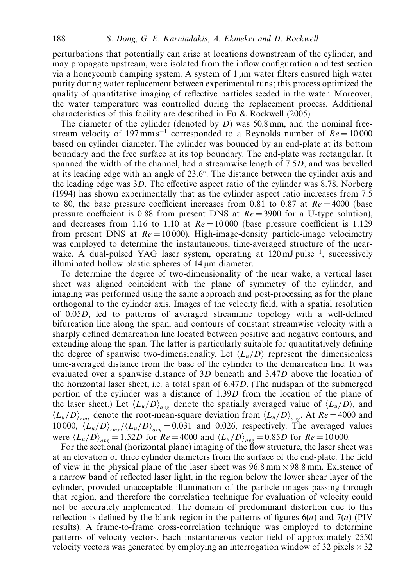perturbations that potentially can arise at locations downstream of the cylinder, and may propagate upstream, were isolated from the inflow configuration and test section via a honeycomb damping system. A system of  $1 \mu m$  water filters ensured high water purity during water replacement between experimental runs; this process optimized the quality of quantitative imaging of reflective particles seeded in the water. Moreover, the water temperature was controlled during the replacement process. Additional characteristics of this facility are described in Fu & Rockwell (2005).

The diameter of the cylinder (denoted by *D*) was 50.8 mm, and the nominal freestream velocity of 197 mm s<sup>-1</sup> corresponded to a Reynolds number of  $Re = 10000$ based on cylinder diameter. The cylinder was bounded by an end-plate at its bottom boundary and the free surface at its top boundary. The end-plate was rectangular. It spanned the width of the channel, had a streamwise length of 7*.*5*D*, and was bevelled at its leading edge with an angle of 23*.*6◦. The distance between the cylinder axis and the leading edge was 3*D*. The effective aspect ratio of the cylinder was 8*.*78. Norberg (1994) has shown experimentally that as the cylinder aspect ratio increases from 7*.*5 to 80, the base pressure coefficient increases from 0.81 to 0.87 at  $Re = 4000$  (base pressure coefficient is 0*.*88 from present DNS at *Re* = 3900 for a U-type solution), and decreases from 1.16 to 1.10 at  $Re = 10000$  (base pressure coefficient is 1.129) from present DNS at *Re* = 10 000). High-image-density particle-image velocimetry was employed to determine the instantaneous, time-averaged structure of the nearwake. A dual-pulsed YAG laser system, operating at  $120 \text{ mJ pulse}^{-1}$ , successively illuminated hollow plastic spheres of 14 µm diameter.

To determine the degree of two-dimensionality of the near wake, a vertical laser sheet was aligned coincident with the plane of symmetry of the cylinder, and imaging was performed using the same approach and post-processing as for the plane orthogonal to the cylinder axis. Images of the velocity field, with a spatial resolution of 0*.*05*D*, led to patterns of averaged streamline topology with a well-defined bifurcation line along the span, and contours of constant streamwise velocity with a sharply defined demarcation line located between positive and negative contours, and extending along the span. The latter is particularly suitable for quantitatively defining the degree of spanwise two-dimensionality. Let  $\langle L_u/D \rangle$  represent the dimensionless time-averaged distance from the base of the cylinder to the demarcation line. It was evaluated over a spanwise distance of 3*D* beneath and 3*.*47*D* above the location of the horizontal laser sheet, i.e. a total span of 6*.*47*D*. (The midspan of the submerged portion of the cylinder was a distance of 1*.*39*D* from the location of the plane of the laser sheet.) Let  $\langle L_u/D \rangle_{ave}$  denote the spatially averaged value of  $\langle L_u/D \rangle$ , and  $\langle L_u/D \rangle_{rms}$  denote the root-mean-square deviation from  $\langle L_u/D \rangle_{ave}$ . At  $Re = 4000$  and 10 000,  $\langle L_u/D \rangle_{rms} / \langle L_u/D \rangle_{avg} = 0.031$  and 0.026, respectively. The averaged values were  $\langle L_u/D \rangle_{ave} = 1.52D$  for  $Re = 4000$  and  $\langle L_u/D \rangle_{ave} = 0.85D$  for  $Re = 10000$ .

For the sectional (horizontal plane) imaging of the flow structure, the laser sheet was at an elevation of three cylinder diameters from the surface of the end-plate. The field of view in the physical plane of the laser sheet was  $96.8 \text{ mm} \times 98.8 \text{ mm}$ . Existence of a narrow band of reflected laser light, in the region below the lower shear layer of the cylinder, provided unacceptable illumination of the particle images passing through that region, and therefore the correlation technique for evaluation of velocity could not be accurately implemented. The domain of predominant distortion due to this reflection is defined by the blank region in the patterns of figures 6(*a*) and 7(*a*) (PIV results). A frame-to-frame cross-correlation technique was employed to determine patterns of velocity vectors. Each instantaneous vector field of approximately 2550 velocity vectors was generated by employing an interrogation window of 32 pixels  $\times$  32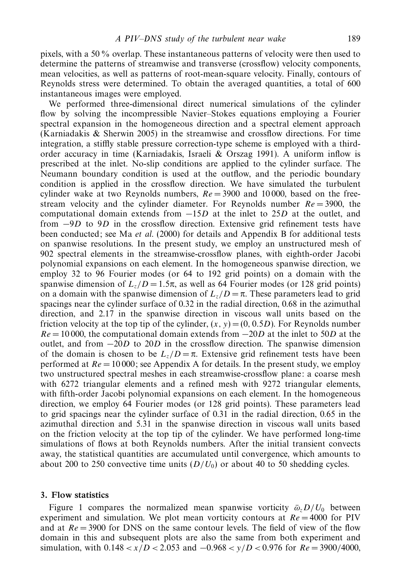pixels, with a 50 % overlap. These instantaneous patterns of velocity were then used to determine the patterns of streamwise and transverse (crossflow) velocity components, mean velocities, as well as patterns of root-mean-square velocity. Finally, contours of Reynolds stress were determined. To obtain the averaged quantities, a total of 600 instantaneous images were employed.

We performed three-dimensional direct numerical simulations of the cylinder flow by solving the incompressible Navier–Stokes equations employing a Fourier spectral expansion in the homogeneous direction and a spectral element approach (Karniadakis & Sherwin 2005) in the streamwise and crossflow directions. For time integration, a stiffly stable pressure correction-type scheme is employed with a thirdorder accuracy in time (Karniadakis, Israeli & Orszag 1991). A uniform inflow is prescribed at the inlet. No-slip conditions are applied to the cylinder surface. The Neumann boundary condition is used at the outflow, and the periodic boundary condition is applied in the crossflow direction. We have simulated the turbulent cylinder wake at two Reynolds numbers,  $Re = 3900$  and 10000, based on the freestream velocity and the cylinder diameter. For Reynolds number  $Re = 3900$ , the computational domain extends from −15*D* at the inlet to 25*D* at the outlet, and from −9*D* to 9*D* in the crossflow direction. Extensive grid refinement tests have been conducted; see Ma et al. (2000) for details and Appendix B for additional tests on spanwise resolutions. In the present study, we employ an unstructured mesh of 902 spectral elements in the streamwise-crossflow planes, with eighth-order Jacobi polynomial expansions on each element. In the homogeneous spanwise direction, we employ 32 to 96 Fourier modes (or 64 to 192 grid points) on a domain with the spanwise dimension of  $L_z/D = 1.5\pi$ , as well as 64 Fourier modes (or 128 grid points) on a domain with the spanwise dimension of  $L_z/D = \pi$ . These parameters lead to grid spacings near the cylinder surface of 0.32 in the radial direction, 0.68 in the azimuthal direction, and 2.17 in the spanwise direction in viscous wall units based on the friction velocity at the top tip of the cylinder,  $(x, y) = (0, 0.5D)$ . For Reynolds number *Re* = 10000, the computational domain extends from −20*D* at the inlet to 50*D* at the outlet, and from −20*D* to 20*D* in the crossflow direction. The spanwise dimension of the domain is chosen to be  $L_z/D = π$ . Extensive grid refinement tests have been performed at  $Re = 10000$ ; see Appendix A for details. In the present study, we employ two unstructured spectral meshes in each streamwise-crossflow plane: a coarse mesh with 6272 triangular elements and a refined mesh with 9272 triangular elements, with fifth-order Jacobi polynomial expansions on each element. In the homogeneous direction, we employ 64 Fourier modes (or 128 grid points). These parameters lead to grid spacings near the cylinder surface of 0.31 in the radial direction, 0.65 in the azimuthal direction and 5.31 in the spanwise direction in viscous wall units based on the friction velocity at the top tip of the cylinder. We have performed long-time simulations of flows at both Reynolds numbers. After the initial transient convects away, the statistical quantities are accumulated until convergence, which amounts to about 200 to 250 convective time units  $(D/U_0)$  or about 40 to 50 shedding cycles.

#### *3. Flow statistics*

Figure 1 compares the normalized mean spanwise vorticity  $\bar{\omega}_z D/U_0$  between experiment and simulation. We plot mean vorticity contours at  $Re = 4000$  for PIV and at  $Re = 3900$  for DNS on the same contour levels. The field of view of the flow domain in this and subsequent plots are also the same from both experiment and simulation, with 0*.*148 *<x/D <* 2*.*053 and −0*.*968 *< y/D <* 0*.*976 for *Re* = 3900*/*4000,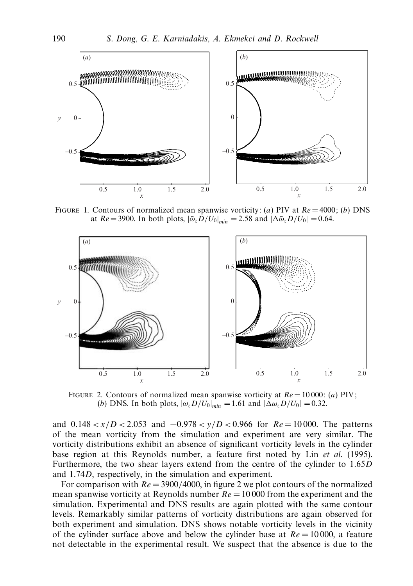

FIGURE 1. Contours of normalized mean spanwise vorticity: (*a*) PIV at  $Re = 4000$ ; (*b*) DNS at  $Re = 3900$ . In both plots,  $|\bar{\omega}_z D/U_0|_{min} = 2.58$  and  $|\Delta \bar{\omega}_z D/U_0| = 0.64$ .



FIGURE 2. Contours of normalized mean spanwise vorticity at  $Re = 10000$ : (*a*) PIV; (*b*) DNS. In both plots,  $|\bar{\omega}_z D/U_0|_{\text{min}} = 1.61$  and  $|\Delta \bar{\omega}_z D/U_0| = 0.32$ .

and 0*.*148 *<x/D <* 2*.*053 and −0*.*978 *< y/D <* 0*.*966 for *Re* = 10 000. The patterns of the mean vorticity from the simulation and experiment are very similar. The vorticity distributions exhibit an absence of significant vorticity levels in the cylinder base region at this Reynolds number, a feature first noted by Lin et al. (1995). Furthermore, the two shear layers extend from the centre of the cylinder to 1*.*65*D* and 1*.*74*D*, respectively, in the simulation and experiment.

For comparison with  $Re = 3900/4000$ , in figure 2 we plot contours of the normalized mean spanwise vorticity at Reynolds number  $Re = 10000$  from the experiment and the simulation. Experimental and DNS results are again plotted with the same contour levels. Remarkably similar patterns of vorticity distributions are again observed for both experiment and simulation. DNS shows notable vorticity levels in the vicinity of the cylinder surface above and below the cylinder base at  $Re = 10000$ , a feature not detectable in the experimental result. We suspect that the absence is due to the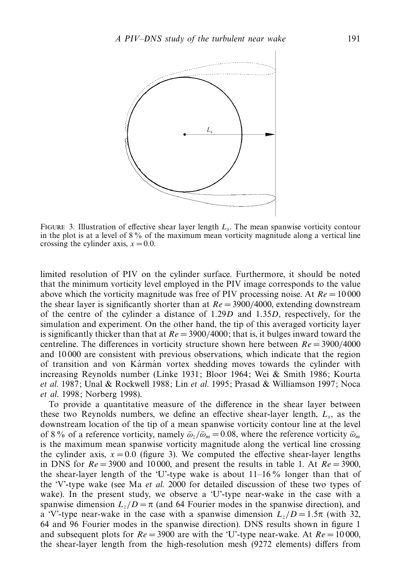

FIGURE 3. Illustration of effective shear layer length  $L<sub>s</sub>$ . The mean spanwise vorticity contour in the plot is at a level of 8% of the maximum mean vorticity magnitude along a vertical line crossing the cylinder axis,  $x = 0.0$ .

limited resolution of PIV on the cylinder surface. Furthermore, it should be noted that the minimum vorticity level employed in the PIV image corresponds to the value above which the vorticity magnitude was free of PIV processing noise. At  $Re = 10000$ the shear layer is significantly shorter than at  $Re = 3900/4000$ , extending downstream of the centre of the cylinder a distance of 1*.*29*D* and 1*.*35*D*, respectively, for the simulation and experiment. On the other hand, the tip of this averaged vorticity layer is significantly thicker than that at *Re* = 3900*/*4000; that is, it bulges inward toward the centreline. The differences in vorticity structure shown here between *Re* = 3900*/*4000 and 10 000 are consistent with previous observations, which indicate that the region of transition and von Kármán vortex shedding moves towards the cylinder with increasing Reynolds number (Linke 1931; Bloor 1964; Wei & Smith 1986; Kourta et al. 1987; Unal & Rockwell 1988; Lin et al. 1995; Prasad & Williamson 1997; Noca et al. 1998; Norberg 1998).

To provide a quantitative measure of the difference in the shear layer between these two Reynolds numbers, we define an effective shear-layer length, *Ls*, as the downstream location of the tip of a mean spanwise vorticity contour line at the level of 8 % of a reference vorticity, namely  $\bar{\omega}_r/\bar{\omega}_m = 0.08$ , where the reference vorticity  $\bar{\omega}_m$ is the maximum mean spanwise vorticity magnitude along the vertical line crossing the cylinder axis,  $x = 0.0$  (figure 3). We computed the effective shear-layer lengths in DNS for  $Re = 3900$  and 10000, and present the results in table 1. At  $Re = 3900$ , the shear-layer length of the 'U'-type wake is about  $11-16\%$  longer than that of the 'V'-type wake (see Ma et al. 2000 for detailed discussion of these two types of wake). In the present study, we observe a 'U'-type near-wake in the case with a spanwise dimension  $L_z/D = \pi$  (and 64 Fourier modes in the spanwise direction), and a 'V'-type near-wake in the case with a spanwise dimension  $L_z/D = 1.5\pi$  (with 32, 64 and 96 Fourier modes in the spanwise direction). DNS results shown in figure 1 and subsequent plots for  $Re = 3900$  are with the 'U'-type near-wake. At  $Re = 10000$ , the shear-layer length from the high-resolution mesh (9272 elements) differs from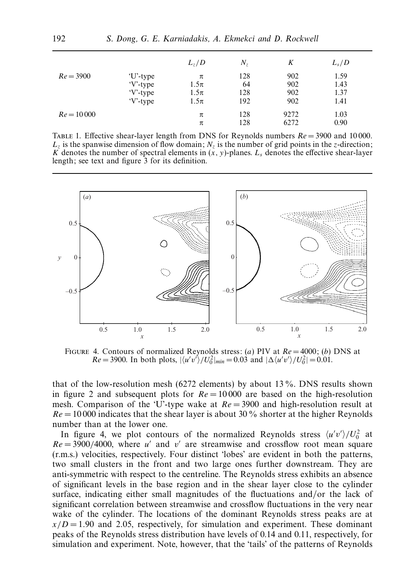|              |           | $L_z/D$  | $N_z$ | K    | $L_s/D$ |
|--------------|-----------|----------|-------|------|---------|
| $Re = 3900$  | 'U'-type  | π        | 128   | 902  | 1.59    |
|              | $V$ -type | $1.5\pi$ | 64    | 902  | 1.43    |
|              | $V-type$  | $1.5\pi$ | 128   | 902  | 1.37    |
|              | $V-type$  | $1.5\pi$ | 192   | 902  | 1.41    |
| $Re = 10000$ |           | π        | 128   | 9272 | 1.03    |
|              |           | π        | 128   | 6272 | 0.90    |

TABLE 1. Effective shear-layer length from DNS for Reynolds numbers  $Re = 3900$  and 10000.  $L_z$  is the spanwise dimension of flow domain;  $N_z$  is the number of grid points in the *z*-direction; *K* denotes the number of spectral elements in  $(x, y)$ -planes.  $L<sub>s</sub>$  denotes the effective shear-layer length; see text and figure 3 for its definition.



FIGURE 4. Contours of normalized Reynolds stress: (*a*) PIV at  $Re = 4000$ ; (*b*) DNS at  $Re = 3900$ . In both plots,  $|\langle u'v' \rangle/U_0^2|_{min} = 0.03$  and  $|\Delta \langle u'v' \rangle/U_0^2| = 0.01$ .

that of the low-resolution mesh (6272 elements) by about 13 %. DNS results shown in figure 2 and subsequent plots for  $Re = 10000$  are based on the high-resolution mesh. Comparison of the 'U'-type wake at *Re* = 3900 and high-resolution result at  $Re = 10000$  indicates that the shear layer is about 30 % shorter at the higher Reynolds number than at the lower one.

In figure 4, we plot contours of the normalized Reynolds stress  $\langle u'v'\rangle/U_0^2$  at  $Re = 3900/4000$ , where *u'* and *v'* are streamwise and crossflow root mean square (r.m.s.) velocities, respectively. Four distinct 'lobes' are evident in both the patterns, two small clusters in the front and two large ones further downstream. They are anti-symmetric with respect to the centreline. The Reynolds stress exhibits an absence of significant levels in the base region and in the shear layer close to the cylinder surface, indicating either small magnitudes of the fluctuations and/or the lack of significant correlation between streamwise and crossflow fluctuations in the very near wake of the cylinder. The locations of the dominant Reynolds stress peaks are at  $x/D = 1.90$  and 2.05, respectively, for simulation and experiment. These dominant peaks of the Reynolds stress distribution have levels of 0.14 and 0.11, respectively, for simulation and experiment. Note, however, that the 'tails' of the patterns of Reynolds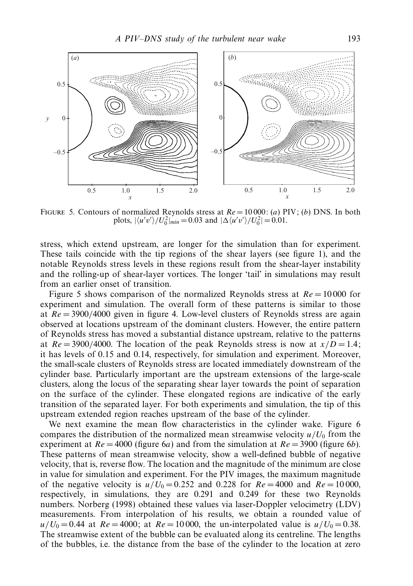

Figure 5. Contours of normalized Reynolds stress at Re = 10 000: (*a*) PIV; (*b*) DNS. In both plots,  $|\langle u'v'\rangle/U_0^2|_{min} = 0.03$  and  $|\Delta \langle u'v'\rangle/U_0^2| = 0.01$ .

stress, which extend upstream, are longer for the simulation than for experiment. These tails coincide with the tip regions of the shear layers (see figure 1), and the notable Reynolds stress levels in these regions result from the shear-layer instability and the rolling-up of shear-layer vortices. The longer 'tail' in simulations may result from an earlier onset of transition.

Figure 5 shows comparison of the normalized Reynolds stress at  $Re = 10000$  for experiment and simulation. The overall form of these patterns is similar to those at *Re* = 3900*/*4000 given in figure 4. Low-level clusters of Reynolds stress are again observed at locations upstream of the dominant clusters. However, the entire pattern of Reynolds stress has moved a substantial distance upstream, relative to the patterns at  $Re = 3900/4000$ . The location of the peak Reynolds stress is now at  $x/D = 1.4$ ; it has levels of 0*.*15 and 0*.*14, respectively, for simulation and experiment. Moreover, the small-scale clusters of Reynolds stress are located immediately downstream of the cylinder base. Particularly important are the upstream extensions of the large-scale clusters, along the locus of the separating shear layer towards the point of separation on the surface of the cylinder. These elongated regions are indicative of the early transition of the separated layer. For both experiments and simulation, the tip of this upstream extended region reaches upstream of the base of the cylinder.

We next examine the mean flow characteristics in the cylinder wake. Figure 6 compares the distribution of the normalized mean streamwise velocity  $u/U_0$  from the experiment at  $Re = 4000$  (figure 6*a*) and from the simulation at  $Re = 3900$  (figure 6*b*). These patterns of mean streamwise velocity, show a well-defined bubble of negative velocity, that is, reverse flow. The location and the magnitude of the minimum are close in value for simulation and experiment. For the PIV images, the maximum magnitude of the negative velocity is  $u/U_0 = 0.252$  and 0.228 for  $Re = 4000$  and  $Re = 10000$ , respectively, in simulations, they are 0.291 and 0.249 for these two Reynolds numbers. Norberg (1998) obtained these values via laser-Doppler velocimetry (LDV) measurements. From interpolation of his results, we obtain a rounded value of  $u/U_0 = 0.44$  at  $Re = 4000$ ; at  $Re = 10000$ , the un-interpolated value is  $u/U_0 = 0.38$ . The streamwise extent of the bubble can be evaluated along its centreline. The lengths of the bubbles, i.e. the distance from the base of the cylinder to the location at zero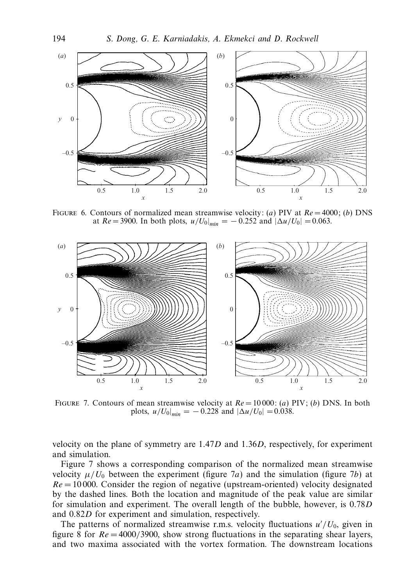

FIGURE 6. Contours of normalized mean streamwise velocity: (*a*) PIV at  $Re = 4000$ ; (*b*) DNS at  $Re = 3900$ . In both plots,  $u/U_0|_{min} = -0.252$  and  $|\Delta u/U_0| = 0.063$ .



Figure 7. Contours of mean streamwise velocity at Re = 10 000: (*a*) PIV; (*b*) DNS. In both plots,  $u/U_0|_{min} = -0.228$  and  $|\Delta u/U_0| = 0.038$ .

velocity on the plane of symmetry are 1*.*47*D* and 1*.*36*D*, respectively, for experiment and simulation.

Figure 7 shows a corresponding comparison of the normalized mean streamwise velocity  $\mu/U_0$  between the experiment (figure 7*a*) and the simulation (figure 7*b*) at  $Re = 10000$ . Consider the region of negative (upstream-oriented) velocity designated by the dashed lines. Both the location and magnitude of the peak value are similar for simulation and experiment. The overall length of the bubble, however, is 0*.*78*D* and 0*.*82*D* for experiment and simulation, respectively.

The patterns of normalized streamwise r.m.s. velocity fluctuations  $u'/U_0$ , given in figure 8 for  $Re = 4000/3900$ , show strong fluctuations in the separating shear layers, and two maxima associated with the vortex formation. The downstream locations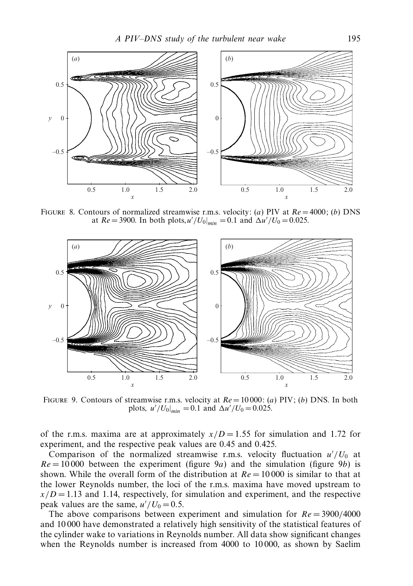

FIGURE 8. Contours of normalized streamwise r.m.s. velocity: (*a*) PIV at  $Re = 4000$ ; (*b*) DNS at  $Re = 3900$ . In both plots,  $u'/U_0|_{min} = 0.1$  and  $\Delta u'/U_0 = 0.025$ .



Figure 9. Contours of streamwise r.m.s. velocity at Re = 10 000: (*a*) PIV; (*b*) DNS. In both plots,  $u'/U_0|_{min} = 0.1$  and  $\Delta u'/U_0 = 0.025$ .

of the r.m.s. maxima are at approximately  $x/D = 1.55$  for simulation and 1.72 for experiment, and the respective peak values are 0*.*45 and 0*.*425.

Comparison of the normalized streamwise r.m.s. velocity fluctuation  $u'/U_0$  at  $Re = 10000$  between the experiment (figure 9*a*) and the simulation (figure 9*b*) is shown. While the overall form of the distribution at  $Re = 10000$  is similar to that at the lower Reynolds number, the loci of the r.m.s. maxima have moved upstream to  $x/D = 1.13$  and 1.14, respectively, for simulation and experiment, and the respective peak values are the same,  $u'/U_0 = 0.5$ .

The above comparisons between experiment and simulation for *Re* = 3900*/*4000 and 10 000 have demonstrated a relatively high sensitivity of the statistical features of the cylinder wake to variations in Reynolds number. All data show significant changes when the Reynolds number is increased from 4000 to 10 000, as shown by Saelim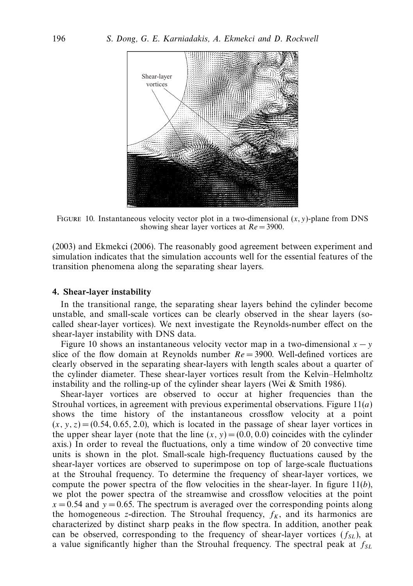

FIGURE 10. Instantaneous velocity vector plot in a two-dimensional  $(x, y)$ -plane from DNS showing shear layer vortices at Re = 3900*.*

(2003) and Ekmekci (2006). The reasonably good agreement between experiment and simulation indicates that the simulation accounts well for the essential features of the transition phenomena along the separating shear layers.

# *4. Shear-layer instability*

In the transitional range, the separating shear layers behind the cylinder become unstable, and small-scale vortices can be clearly observed in the shear layers (socalled shear-layer vortices). We next investigate the Reynolds-number effect on the shear-layer instability with DNS data.

Figure 10 shows an instantaneous velocity vector map in a two-dimensional  $x - y$ slice of the flow domain at Reynolds number *Re* = 3900. Well-defined vortices are clearly observed in the separating shear-layers with length scales about a quarter of the cylinder diameter. These shear-layer vortices result from the Kelvin–Helmholtz instability and the rolling-up of the cylinder shear layers (Wei  $&$  Smith 1986).

Shear-layer vortices are observed to occur at higher frequencies than the Strouhal vortices, in agreement with previous experimental observations. Figure 11(*a*) shows the time history of the instantaneous crossflow velocity at a point  $(x, y, z) = (0.54, 0.65, 2.0)$ , which is located in the passage of shear layer vortices in the upper shear layer (note that the line  $(x, y) = (0.0, 0.0)$  coincides with the cylinder axis.) In order to reveal the fluctuations, only a time window of 20 convective time units is shown in the plot. Small-scale high-frequency fluctuations caused by the shear-layer vortices are observed to superimpose on top of large-scale fluctuations at the Strouhal frequency. To determine the frequency of shear-layer vortices, we compute the power spectra of the flow velocities in the shear-layer. In figure 11(*b*), we plot the power spectra of the streamwise and crossflow velocities at the point  $x = 0.54$  and  $y = 0.65$ . The spectrum is averaged over the corresponding points along the homogeneous z-direction. The Strouhal frequency,  $f_K$ , and its harmonics are characterized by distinct sharp peaks in the flow spectra. In addition, another peak can be observed, corresponding to the frequency of shear-layer vortices  $(f<sub>SI</sub>)$ , at a value significantly higher than the Strouhal frequency. The spectral peak at  $f_{SL}$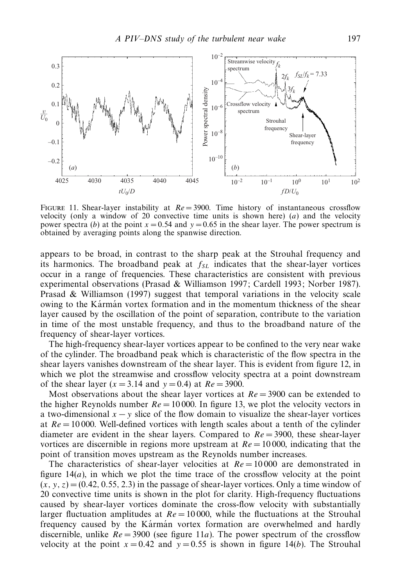

FIGURE 11. Shear-layer instability at  $Re = 3900$ . Time history of instantaneous crossflow velocity (only a window of 20 convective time units is shown here)  $(a)$  and the velocity power spectra (*b*) at the point  $x = 0.54$  and  $y = 0.65$  in the shear layer. The power spectrum is obtained by averaging points along the spanwise direction.

appears to be broad, in contrast to the sharp peak at the Strouhal frequency and its harmonics. The broadband peak at  $f_{SL}$  indicates that the shear-layer vortices occur in a range of frequencies. These characteristics are consistent with previous experimental observations (Prasad & Williamson 1997; Cardell 1993; Norber 1987). Prasad & Williamson (1997) suggest that temporal variations in the velocity scale owing to the Karman vortex formation and in the momentum thickness of the shear layer caused by the oscillation of the point of separation, contribute to the variation in time of the most unstable frequency, and thus to the broadband nature of the frequency of shear-layer vortices.

The high-frequency shear-layer vortices appear to be confined to the very near wake of the cylinder. The broadband peak which is characteristic of the flow spectra in the shear layers vanishes downstream of the shear layer. This is evident from figure 12, in which we plot the streamwise and crossflow velocity spectra at a point downstream of the shear layer ( $x = 3.14$  and  $y = 0.4$ ) at  $Re = 3900$ .

Most observations about the shear layer vortices at  $Re = 3900$  can be extended to the higher Reynolds number  $Re = 10000$ . In figure 13, we plot the velocity vectors in a two-dimensional  $x - y$  slice of the flow domain to visualize the shear-layer vortices at *Re* = 10 000. Well-defined vortices with length scales about a tenth of the cylinder diameter are evident in the shear layers. Compared to  $Re = 3900$ , these shear-layer vortices are discernible in regions more upstream at  $Re = 10000$ , indicating that the point of transition moves upstream as the Reynolds number increases.

The characteristics of shear-layer velocities at  $Re = 10000$  are demonstrated in figure  $14(a)$ , in which we plot the time trace of the crossflow velocity at the point  $(x, y, z) = (0.42, 0.55, 2.3)$  in the passage of shear-layer vortices. Only a time window of 20 convective time units is shown in the plot for clarity. High-frequency fluctuations caused by shear-layer vortices dominate the cross-flow velocity with substantially larger fluctuation amplitudes at  $Re = 10000$ , while the fluctuations at the Strouhal frequency caused by the Karman vortex formation are overwhelmed and hardly discernible, unlike  $Re = 3900$  (see figure 11*a*). The power spectrum of the crossflow velocity at the point  $x = 0.42$  and  $y = 0.55$  is shown in figure 14(*b*). The Strouhal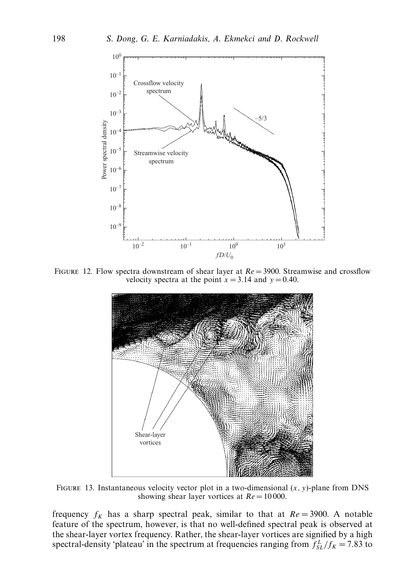

FIGURE 12. Flow spectra downstream of shear layer at  $Re = 3900$ . Streamwise and crossflow velocity spectra at the point  $x = 3.14$  and  $y = 0.40$ .



FIGURE 13. Instantaneous velocity vector plot in a two-dimensional  $(x, y)$ -plane from DNS showing shear layer vortices at Re = 10 000*.*

frequency  $f_K$  has a sharp spectral peak, similar to that at  $Re = 3900$ . A notable feature of the spectrum, however, is that no well-defined spectral peak is observed at the shear-layer vortex frequency. Rather, the shear-layer vortices are signified by a high spectral-density 'plateau' in the spectrum at frequencies ranging from  $f_{SL}^L/f_K = 7.83$  to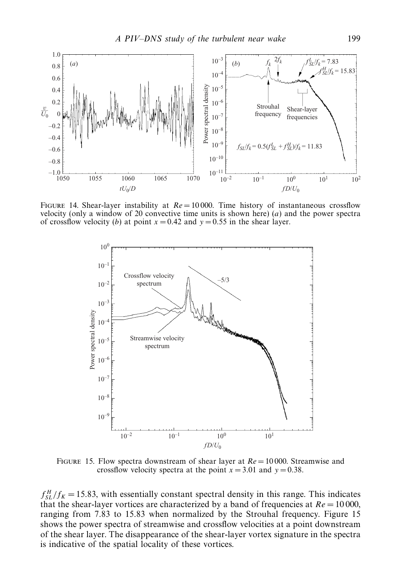

FIGURE 14. Shear-layer instability at  $Re = 10000$ . Time history of instantaneous crossflow velocity (only a window of 20 convective time units is shown here) (*a*) and the power spectra of crossflow velocity (*b*) at point  $x = 0.42$  and  $y = 0.55$  in the shear layer.



FIGURE 15. Flow spectra downstream of shear layer at  $Re = 10000$ . Streamwise and crossflow velocity spectra at the point  $x = 3.01$  and  $y = 0.38$ .

 $f_{SL}^H/f_K = 15.83$ , with essentially constant spectral density in this range. This indicates that the shear-layer vortices are characterized by a band of frequencies at  $Re = 10000$ , ranging from 7*.*83 to 15*.*83 when normalized by the Strouhal frequency. Figure 15 shows the power spectra of streamwise and crossflow velocities at a point downstream of the shear layer. The disappearance of the shear-layer vortex signature in the spectra is indicative of the spatial locality of these vortices.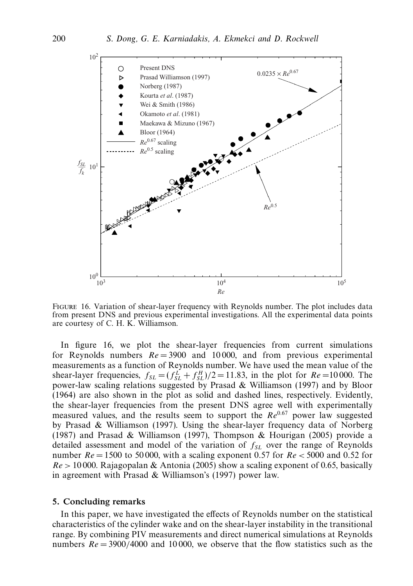

Figure 16. Variation of shear-layer frequency with Reynolds number. The plot includes data from present DNS and previous experimental investigations. All the experimental data points are courtesy of C. H. K. Williamson.

In figure 16, we plot the shear-layer frequencies from current simulations for Reynolds numbers  $Re = 3900$  and 10000, and from previous experimental measurements as a function of Reynolds number. We have used the mean value of the shear-layer frequencies,  $f_{SL} = (f_{SL}^L + f_{SL}^H)/2 = 11.83$ , in the plot for  $Re = 10000$ . The power-law scaling relations suggested by Prasad & Williamson (1997) and by Bloor (1964) are also shown in the plot as solid and dashed lines, respectively. Evidently, the shear-layer frequencies from the present DNS agree well with experimentally measured values, and the results seem to support the *Re*<sup>0.67</sup> power law suggested by Prasad & Williamson (1997). Using the shear-layer frequency data of Norberg (1987) and Prasad & Williamson (1997), Thompson & Hourigan (2005) provide a detailed assessment and model of the variation of  $f_{SL}$  over the range of Reynolds number *Re* = 1500 to 50 000, with a scaling exponent 0*.*57 for *Re<* 5000 and 0*.*52 for *Re>* 10 000. Rajagopalan & Antonia (2005) show a scaling exponent of 0.65, basically in agreement with Prasad & Williamson's (1997) power law.

#### *5. Concluding remarks*

In this paper, we have investigated the effects of Reynolds number on the statistical characteristics of the cylinder wake and on the shear-layer instability in the transitional range. By combining PIV measurements and direct numerical simulations at Reynolds numbers  $Re = 3900/4000$  and 10000, we observe that the flow statistics such as the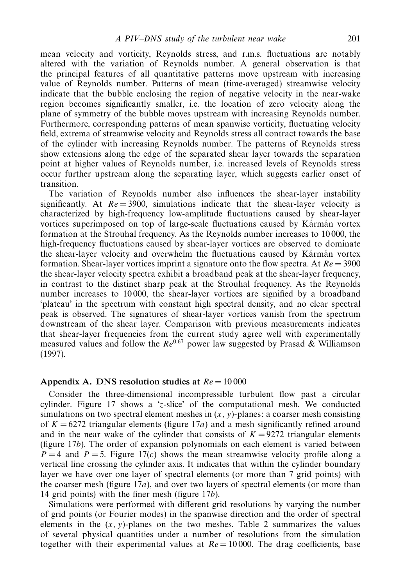mean velocity and vorticity, Reynolds stress, and r.m.s. fluctuations are notably altered with the variation of Reynolds number. A general observation is that the principal features of all quantitative patterns move upstream with increasing value of Reynolds number. Patterns of mean (time-averaged) streamwise velocity indicate that the bubble enclosing the region of negative velocity in the near-wake region becomes significantly smaller, i.e. the location of zero velocity along the plane of symmetry of the bubble moves upstream with increasing Reynolds number. Furthermore, corresponding patterns of mean spanwise vorticity, fluctuating velocity field, extrema of streamwise velocity and Reynolds stress all contract towards the base of the cylinder with increasing Reynolds number. The patterns of Reynolds stress show extensions along the edge of the separated shear layer towards the separation point at higher values of Reynolds number, i.e. increased levels of Reynolds stress occur further upstream along the separating layer, which suggests earlier onset of transition.

The variation of Reynolds number also influences the shear-layer instability significantly. At  $Re = 3900$ , simulations indicate that the shear-layer velocity is characterized by high-frequency low-amplitude fluctuations caused by shear-layer vortices superimposed on top of large-scale fluctuations caused by Karman vortex formation at the Strouhal frequency. As the Reynolds number increases to 10 000, the high-frequency fluctuations caused by shear-layer vortices are observed to dominate the shear-layer velocity and overwhelm the fluctuations caused by Karman vortex formation. Shear-layer vortices imprint a signature onto the flow spectra. At *Re* = 3900 the shear-layer velocity spectra exhibit a broadband peak at the shear-layer frequency, in contrast to the distinct sharp peak at the Strouhal frequency. As the Reynolds number increases to 10 000, the shear-layer vortices are signified by a broadband 'plateau' in the spectrum with constant high spectral density, and no clear spectral peak is observed. The signatures of shear-layer vortices vanish from the spectrum downstream of the shear layer. Comparison with previous measurements indicates that shear-layer frequencies from the current study agree well with experimentally measured values and follow the  $Re^{0.67}$  power law suggested by Prasad  $\&$  Williamson (1997).

#### Appendix A. DNS resolution studies at  $Re = 10000$

Consider the three-dimensional incompressible turbulent flow past a circular cylinder. Figure 17 shows a '*z*-slice' of the computational mesh. We conducted simulations on two spectral element meshes in  $(x, y)$ -planes: a coarser mesh consisting of  $K = 6272$  triangular elements (figure 17*a*) and a mesh significantly refined around and in the near wake of the cylinder that consists of  $K = 9272$  triangular elements (figure 17*b*). The order of expansion polynomials on each element is varied between  $P = 4$  and  $P = 5$ . Figure 17(*c*) shows the mean streamwise velocity profile along a vertical line crossing the cylinder axis. It indicates that within the cylinder boundary layer we have over one layer of spectral elements (or more than 7 grid points) with the coarser mesh (figure 17*a*), and over two layers of spectral elements (or more than 14 grid points) with the finer mesh (figure 17*b*).

Simulations were performed with different grid resolutions by varying the number of grid points (or Fourier modes) in the spanwise direction and the order of spectral elements in the  $(x, y)$ -planes on the two meshes. Table 2 summarizes the values of several physical quantities under a number of resolutions from the simulation together with their experimental values at  $Re = 10000$ . The drag coefficients, base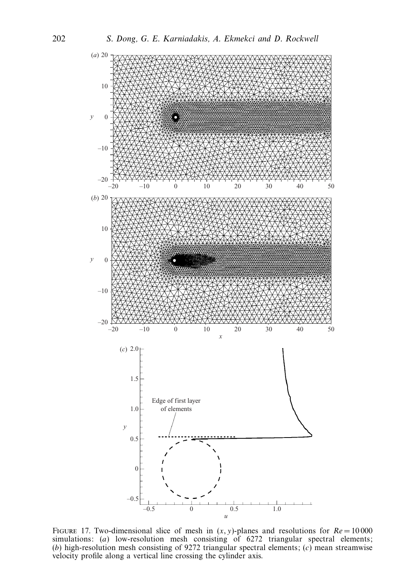

FIGURE 17. Two-dimensional slice of mesh in  $(x, y)$ -planes and resolutions for  $Re = 10000$ simulations: (*a*) low-resolution mesh consisting of 6272 triangular spectral elements; (*b*) high-resolution mesh consisting of 9272 triangular spectral elements; (*c*) mean streamwise velocity profile along a vertical line crossing the cylinder axis.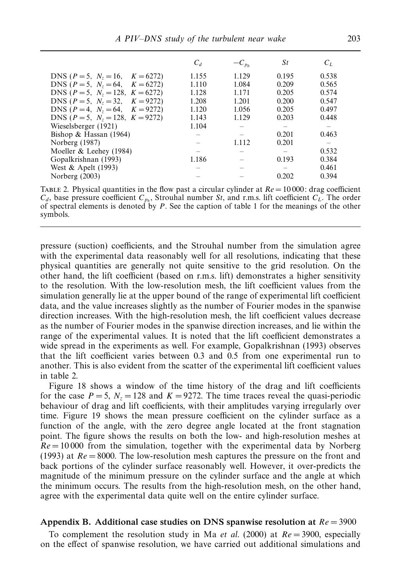|                                            | $C_d$ | $-C_{p_b}$ | St    | $C_L$ |
|--------------------------------------------|-------|------------|-------|-------|
| DNS ( $P = 5$ , $N_z = 16$ , $K = 6272$ )  | 1.155 | 1.129      | 0.195 | 0.538 |
| DNS ( $P = 5$ , $N_z = 64$ , $K = 6272$ )  | 1.110 | 1.084      | 0.209 | 0.565 |
| DNS ( $P = 5$ , $N_z = 128$ , $K = 6272$ ) | 1.128 | 1.171      | 0.205 | 0.574 |
| DNS ( $P = 5$ , $N_z = 32$ , $K = 9272$ )  | 1.208 | 1.201      | 0.200 | 0.547 |
| DNS ( $P = 4$ , $N_z = 64$ , $K = 9272$ )  | 1.120 | 1.056      | 0.205 | 0.497 |
| DNS ( $P = 5$ , $N_z = 128$ , $K = 9272$ ) | 1.143 | 1.129      | 0.203 | 0.448 |
| Wieselsberger (1921)                       | 1.104 |            |       |       |
| Bishop & Hassan $(1964)$                   |       |            | 0.201 | 0.463 |
| Norberg (1987)                             |       | 1.112      | 0.201 |       |
| Moeller $&$ Leehey (1984)                  |       |            |       | 0.532 |
| Gopalkrishnan (1993)                       | 1.186 |            | 0.193 | 0.384 |
| West & Apelt (1993)                        |       |            |       | 0.461 |
| Norberg $(2003)$                           |       |            | 0.202 | 0.394 |

TABLE 2. Physical quantities in the flow past a circular cylinder at  $Re = 10000$ : drag coefficient  $C_d$ , base pressure coefficient  $C_{p_b}$ , Strouhal number *St*, and r.m.s. lift coefficient  $C_L$ . The order of spectral elements is denoted by *P*. See the caption of table 1 for the meanings of the other symbols.

pressure (suction) coefficients, and the Strouhal number from the simulation agree with the experimental data reasonably well for all resolutions, indicating that these physical quantities are generally not quite sensitive to the grid resolution. On the other hand, the lift coefficient (based on r.m.s. lift) demonstrates a higher sensitivity to the resolution. With the low-resolution mesh, the lift coefficient values from the simulation generally lie at the upper bound of the range of experimental lift coefficient data, and the value increases slightly as the number of Fourier modes in the spanwise direction increases. With the high-resolution mesh, the lift coefficient values decrease as the number of Fourier modes in the spanwise direction increases, and lie within the range of the experimental values. It is noted that the lift coefficient demonstrates a wide spread in the experiments as well. For example, Gopalkrishnan (1993) observes that the lift coefficient varies between 0.3 and 0.5 from one experimental run to another. This is also evident from the scatter of the experimental lift coefficient values in table 2.

Figure 18 shows a window of the time history of the drag and lift coefficients for the case  $P = 5$ ,  $N_z = 128$  and  $K = 9272$ . The time traces reveal the quasi-periodic behaviour of drag and lift coefficients, with their amplitudes varying irregularly over time. Figure 19 shows the mean pressure coefficient on the cylinder surface as a function of the angle, with the zero degree angle located at the front stagnation point. The figure shows the results on both the low- and high-resolution meshes at  $Re = 10000$  from the simulation, together with the experimental data by Norberg (1993) at *Re* = 8000. The low-resolution mesh captures the pressure on the front and back portions of the cylinder surface reasonably well. However, it over-predicts the magnitude of the minimum pressure on the cylinder surface and the angle at which the minimum occurs. The results from the high-resolution mesh, on the other hand, agree with the experimental data quite well on the entire cylinder surface.

### *Appendix B. Additional case studies on DNS spanwise resolution at Re* = 3900

To complement the resolution study in Ma *et al.* (2000) at  $Re = 3900$ , especially on the effect of spanwise resolution, we have carried out additional simulations and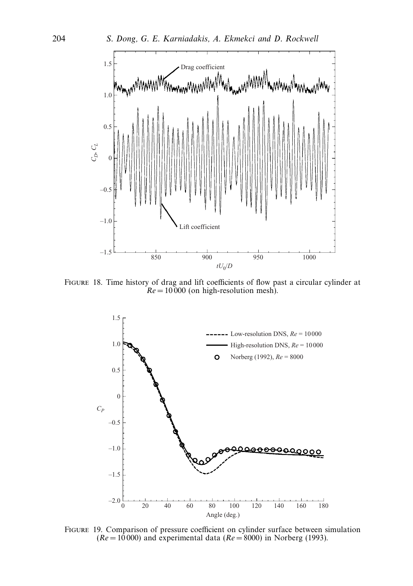

Figure 18. Time history of drag and lift coefficients of flow past a circular cylinder at  $Re = 10000$  (on high-resolution mesh).



Figure 19. Comparison of pressure coefficient on cylinder surface between simulation  $(Re = 10000)$  and experimental data  $(Re = 8000)$  in Norberg (1993).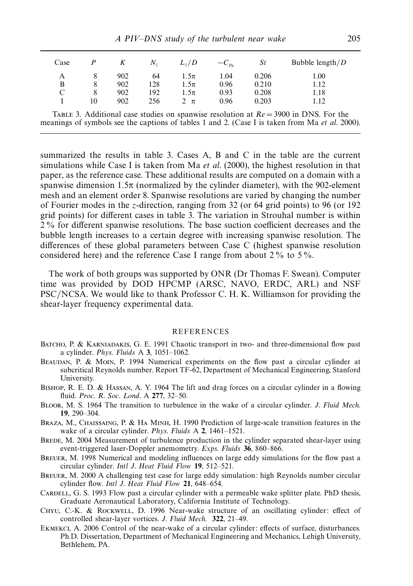| Case | P  | K   | N,  | $L_z/D$  | $-C_{p_b}$ | St    | Bubble length $/D$ |
|------|----|-----|-----|----------|------------|-------|--------------------|
| А    |    | 902 | 64  | 1.5π     | 1.04       | 0.206 | 1.00               |
| B    | 8  | 902 | 128 | $1.5\pi$ | 0.96       | 0.210 | 1.12               |
| C    | 8  | 902 | 192 | 1.5π     | 0.93       | 0.208 | 1.18               |
|      | 10 | 902 | 256 | $2 \pi$  | 0.96       | 0.203 | 1.12               |
|      |    |     |     |          |            |       |                    |

TABLE 3. Additional case studies on spanwise resolution at  $Re = 3900$  in DNS. For the meanings of symbols see the captions of tables 1 and 2. (Case I is taken from Ma et al. 2000).

summarized the results in table 3. Cases A, B and C in the table are the current simulations while Case I is taken from Ma *et al.* (2000), the highest resolution in that paper, as the reference case. These additional results are computed on a domain with a spanwise dimension 1*.*5π (normalized by the cylinder diameter), with the 902-element mesh and an element order 8. Spanwise resolutions are varied by changing the number of Fourier modes in the *z*-direction, ranging from 32 (or 64 grid points) to 96 (or 192 grid points) for different cases in table 3. The variation in Strouhal number is within 2 % for different spanwise resolutions. The base suction coefficient decreases and the bubble length increases to a certain degree with increasing spanwise resolution. The differences of these global parameters between Case C (highest spanwise resolution considered here) and the reference Case I range from about  $2\%$  to  $5\%$ .

The work of both groups was supported by ONR (Dr Thomas F. Swean). Computer time was provided by DOD HPCMP (ARSC, NAVO, ERDC, ARL) and NSF PSC/NCSA. We would like to thank Professor C. H. K. Williamson for providing the shear-layer frequency experimental data.

#### REFERENCES

- BATCHO, P. & KARNIADAKIS, G. E. 1991 Chaotic transport in two- and three-dimensional flow past a cylinder. Phys. Fluids A **3**, 1051–1062.
- Beaudan, P. & Moin, P. 1994 Numerical experiments on the flow past a circular cylinder at subcritical Reynolds number. Report TF-62, Department of Mechanical Engineering, Stanford University.
- Bishop, R. E. D. & Hassan, A. Y. 1964 The lift and drag forces on a circular cylinder in a flowing fluid. Proc. R. Soc. Lond. A **277**, 32–50.
- Bloor, M. S. 1964 The transition to turbulence in the wake of a circular cylinder. J. Fluid Mech. **19**, 290–304.
- Braza, M., Chaissaing, P. & Ha Minh, H. 1990 Prediction of large-scale transition features in the wake of a circular cylinder. Phys. Fluids A **2**, 1461–1521.
- BREDE, M. 2004 Measurement of turbulence production in the cylinder separated shear-layer using event-triggered laser-Doppler anemometry. Exps. Fluids **36**, 860–866.
- BREUER, M. 1998 Numerical and modeling influences on large eddy simulations for the flow past a circular cylinder. Intl J. Heat Fluid Flow **19**, 512–521.
- Breuer, M. 2000 A challenging test case for large eddy simulation: high Reynolds number circular cylinder flow. Intl J. Heat Fluid Flow **21**, 648–654.
- CARDELL, G. S. 1993 Flow past a circular cylinder with a permeable wake splitter plate. PhD thesis, Graduate Aeronautical Laboratory, California Institute of Technology.
- Chyu, C.-K. & Rockwell, D. 1996 Near-wake structure of an oscillating cylinder: effect of controlled shear-layer vortices. J. Fluid Mech. **322**, 21–49.
- Ekmekci, A. 2006 Control of the near-wake of a circular cylinder: effects of surface, disturbances. Ph.D. Dissertation, Department of Mechanical Engineering and Mechanics, Lehigh University, Bethlehem, PA.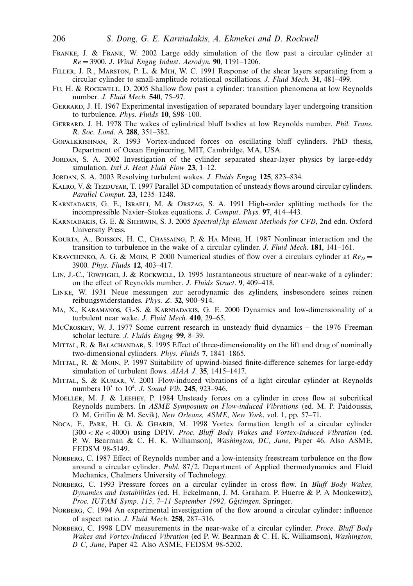- Franke, J. & Frank, W. 2002 Large eddy simulation of the flow past a circular cylinder at *Re* = 3900. J. Wind Engng Indust. Aerodyn. **90**, 1191–1206.
- Filler, J. R., Marston, P. L. & Mih, W. C. 1991 Response of the shear layers separating from a circular cylinder to small-amplitude rotational oscillations. J. Fluid Mech. **31**, 481–499.
- Fu, H. & Rockwell, D. 2005 Shallow flow past a cylinder: transition phenomena at low Reynolds number. J. Fluid Mech. **540**, 75–97.
- GERRARD, J. H. 1967 Experimental investigation of separated boundary layer undergoing transition to turbulence. Phys. Fluids **10**, S98–100.
- Gerrard, J. H. 1978 The wakes of cylindrical bluff bodies at low Reynolds number. Phil. Trans. R. Soc. Lond. A **288**, 351–382.
- Gopalkrishnan, R. 1993 Vortex-induced forces on oscillating bluff cylinders. PhD thesis, Department of Ocean Engineering, MIT, Cambridge, MA, USA.
- Jordan, S. A. 2002 Investigation of the cylinder separated shear-layer physics by large-eddy simulation. Intl J. Heat Fluid Flow **23**, 1–12.
- Jordan, S. A. 2003 Resolving turbulent wakes. J. Fluids Engng **125**, 823–834.
- KALRO, V. & TEZDUYAR, T. 1997 Parallel 3D computation of unsteady flows around circular cylinders. Parallel Comput. **23**, 1235–1248.
- Karniadakis, G. E., Israeli, M. & Orszag, S. A. 1991 High-order splitting methods for the incompressible Navier–Stokes equations. J. Comput. Phys. **97**, 414–443.
- Karniadakis, G. E. & Sherwin, S. J. 2005 Spectral/hp Element Methods for CFD, 2nd edn. Oxford University Press.
- Kourta, A., Boisson, H. C., Chassaing, P. & Ha Minh, H. 1987 Nonlinear interaction and the transition to turbulence in the wake of a circular cylinder. J. Fluid Mech. **181**, 141–161.
- KRAVCHENKO, A. G. & MOIN, P. 2000 Numerical studies of flow over a circulars cylinder at  $Re_D =$ 3900. Phys. Fluids **12**, 403–417.
- LIN, J.-C., TowFIGHI, J. & ROCKWELL, D. 1995 Instantaneous structure of near-wake of a cylinder: on the effect of Reynolds number. J. Fluids Struct. **9**, 409–418.
- Linke, W. 1931 Neue messungen zur aerodynamic des zylinders, insbesondere seines reinen reibungswiderstandes. Phys. Z. **32**, 900–914.
- Ma, X., Karamanos, G.-S. & Karniadakis, G. E. 2000 Dynamics and low-dimensionality of a turbulent near wake. J. Fluid Mech. **410**, 29–65.
- McCroskey, W. J. 1977 Some current research in unsteady fluid dynamics the 1976 Freeman scholar lecture. J. Fluids Engng **99**, 8–39.
- MITTAL, R. & BALACHANDAR, S. 1995 Effect of three-dimensionality on the lift and drag of nominally two-dimensional cylinders. Phys. Fluids **7**, 1841–1865.
- Mittal, R. & Moin, P. 1997 Suitability of upwind-biased finite-difference schemes for large-eddy simulation of turbulent flows. AIAA J. **35**, 1415–1417.
- MITTAL, S. & KUMAR, V. 2001 Flow-induced vibrations of a light circular cylinder at Reynolds numbers 103 to 104. J. Sound Vib. **245**, 923–946.
- Moeller, M. J. & Leehey, P. 1984 Unsteady forces on a cylinder in cross flow at subcritical Reynolds numbers. In ASME Symposium on Flow-induced Vibrations (ed. M. P. Paidoussis, O. M, Griffin & M. Sevik), New Orleans, ASME, New York, vol. 1, pp. 57–71.
- Noca, F., PARK, H. G. & GHARIB, M. 1998 Vortex formation length of a circular cylinder (300 *<Re<* 4000) using DPIV. Proc. Bluff Body Wakes and Vortex-Induced Vibration (ed. P. W. Bearman & C. H. K. Williamson), Washington, DC, June, Paper 46. Also ASME, FEDSM 98-5149.
- NORBERG, C. 1987 Effect of Reynolds number and a low-intensity freestream turbulence on the flow around a circular cylinder. Publ. 87/2. Department of Applied thermodynamics and Fluid Mechanics, Chalmers University of Technology.
- NORBERG, C. 1993 Pressure forces on a circular cylinder in cross flow. In Bluff Body Wakes, Dynamics and Instabilities (ed. H. Eckelmann, J. M. Graham. P. Huerre & P. A Monkewitz), Proc. IUTAM Symp. 115, 7-11 September 1992, Gğttingen. Springer.
- Norberg, C. 1994 An experimental investigation of the flow around a circular cylinder: influence of aspect ratio. J. Fluid Mech. **258**, 287–316.
- NORBERG, C. 1998 LDV measurements in the near-wake of a circular cylinder. Proce. Bluff Body Wakes and Vortex-Induced Vibration (ed P. W. Bearman & C. H. K. Williamson), Washington, D C, June, Paper 42. Also ASME, FEDSM 98-5202.